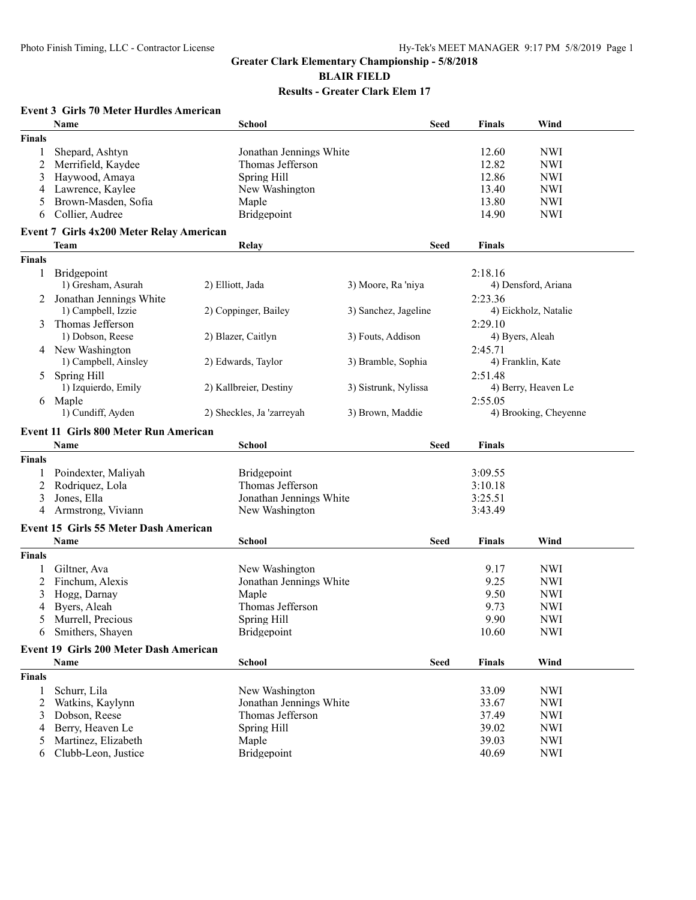## **Greater Clark Elementary Championship - 5/8/2018 BLAIR FIELD Results - Greater Clark Elem 17**

## **Event 3 Girls 70 Meter Hurdles American**

|                                       | <b>Name</b>                                | School                    |                      | <b>Seed</b> | Finals          | Wind                     |
|---------------------------------------|--------------------------------------------|---------------------------|----------------------|-------------|-----------------|--------------------------|
| <b>Finals</b>                         |                                            |                           |                      |             |                 |                          |
| 1                                     | Shepard, Ashtyn                            | Jonathan Jennings White   |                      |             | 12.60           | <b>NWI</b>               |
| 2                                     | Merrifield, Kaydee                         | Thomas Jefferson          |                      |             | 12.82           | <b>NWI</b>               |
| 3                                     | Haywood, Amaya                             | Spring Hill               |                      |             | 12.86           | <b>NWI</b>               |
| 4                                     | Lawrence, Kaylee                           | New Washington            |                      |             | 13.40           | <b>NWI</b>               |
| 5                                     | Brown-Masden, Sofia                        | Maple                     |                      |             | 13.80           | <b>NWI</b>               |
| 6                                     | Collier, Audree                            | Bridgepoint               |                      |             | 14.90           | <b>NWI</b>               |
|                                       | Event 7 Girls 4x200 Meter Relay American   |                           |                      |             |                 |                          |
|                                       | <b>Team</b>                                | Relay                     |                      | <b>Seed</b> | <b>Finals</b>   |                          |
| <b>Finals</b>                         |                                            |                           |                      |             |                 |                          |
| 1                                     | Bridgepoint                                |                           |                      |             | 2:18.16         |                          |
|                                       | 1) Gresham, Asurah                         | 2) Elliott, Jada          | 3) Moore, Ra 'niya   |             |                 | 4) Densford, Ariana      |
| 2                                     | Jonathan Jennings White                    |                           |                      |             | 2:23.36         |                          |
|                                       | 1) Campbell, Izzie                         | 2) Coppinger, Bailey      | 3) Sanchez, Jageline |             |                 | 4) Eickholz, Natalie     |
| 3                                     | Thomas Jefferson                           |                           |                      | 2:29.10     |                 |                          |
|                                       | 1) Dobson, Reese                           | 2) Blazer, Caitlyn        | 3) Fouts, Addison    |             | 4) Byers, Aleah |                          |
|                                       | 4 New Washington                           |                           |                      |             | 2:45.71         |                          |
|                                       | 1) Campbell, Ainsley                       | 2) Edwards, Taylor        | 3) Bramble, Sophia   |             |                 | 4) Franklin, Kate        |
|                                       | Spring Hill                                |                           |                      |             | 2:51.48         |                          |
| 5                                     | 1) Izquierdo, Emily                        | 2) Kallbreier, Destiny    | 3) Sistrunk, Nylissa |             |                 | 4) Berry, Heaven Le      |
|                                       |                                            |                           |                      |             |                 |                          |
|                                       | 6 Maple<br>1) Cundiff, Ayden               | 2) Sheckles, Ja 'zarreyah | 3) Brown, Maddie     |             | 2:55.05         | 4) Brooking, Cheyenne    |
|                                       |                                            |                           |                      |             |                 |                          |
|                                       | Event 11 Girls 800 Meter Run American      |                           |                      |             |                 |                          |
|                                       | Name                                       | <b>School</b>             |                      | <b>Seed</b> | <b>Finals</b>   |                          |
| <b>Finals</b>                         |                                            |                           |                      |             |                 |                          |
| 1                                     | Poindexter, Maliyah                        | Bridgepoint               |                      |             | 3:09.55         |                          |
| 2                                     | Rodriquez, Lola                            | Thomas Jefferson          |                      |             | 3:10.18         |                          |
| 3                                     | Jones, Ella                                | Jonathan Jennings White   |                      |             | 3:25.51         |                          |
| 4                                     | Armstrong, Viviann                         | New Washington            |                      |             | 3:43.49         |                          |
| Event 15 Girls 55 Meter Dash American |                                            |                           |                      |             |                 |                          |
|                                       | Name                                       | <b>School</b>             |                      | <b>Seed</b> | <b>Finals</b>   | Wind                     |
| <b>Finals</b>                         |                                            |                           |                      |             |                 |                          |
| 1                                     | Giltner, Ava                               | New Washington            |                      |             | 9.17            | <b>NWI</b>               |
| 2                                     | Finchum, Alexis                            | Jonathan Jennings White   |                      |             | 9.25            | <b>NWI</b>               |
| 3                                     | Hogg, Darnay                               | Maple                     |                      |             | 9.50            | <b>NWI</b>               |
| 4                                     | Byers, Aleah                               | Thomas Jefferson          |                      |             | 9.73            | <b>NWI</b>               |
| 5                                     | Murrell, Precious                          |                           |                      |             |                 | <b>NWI</b>               |
|                                       |                                            |                           |                      |             |                 |                          |
|                                       |                                            | Spring Hill               |                      |             | 9.90            |                          |
|                                       | 6 Smithers, Shayen                         | Bridgepoint               |                      |             | 10.60           | <b>NWI</b>               |
|                                       | Event 19 Girls 200 Meter Dash American     |                           |                      |             |                 |                          |
|                                       | <b>Name</b>                                | <b>School</b>             |                      | <b>Seed</b> | <b>Finals</b>   | Wind                     |
| <b>Finals</b>                         |                                            |                           |                      |             |                 |                          |
| 1                                     | Schurr, Lila                               | New Washington            |                      |             | 33.09           | <b>NWI</b>               |
| 2                                     | Watkins, Kaylynn                           | Jonathan Jennings White   |                      |             | 33.67           | <b>NWI</b>               |
| 3                                     | Dobson, Reese                              | Thomas Jefferson          |                      |             | 37.49           | <b>NWI</b>               |
| 4                                     | Berry, Heaven Le                           | Spring Hill               |                      |             | 39.02           | <b>NWI</b>               |
| 5<br>6                                | Martinez, Elizabeth<br>Clubb-Leon, Justice | Maple<br>Bridgepoint      |                      |             | 39.03<br>40.69  | <b>NWI</b><br><b>NWI</b> |